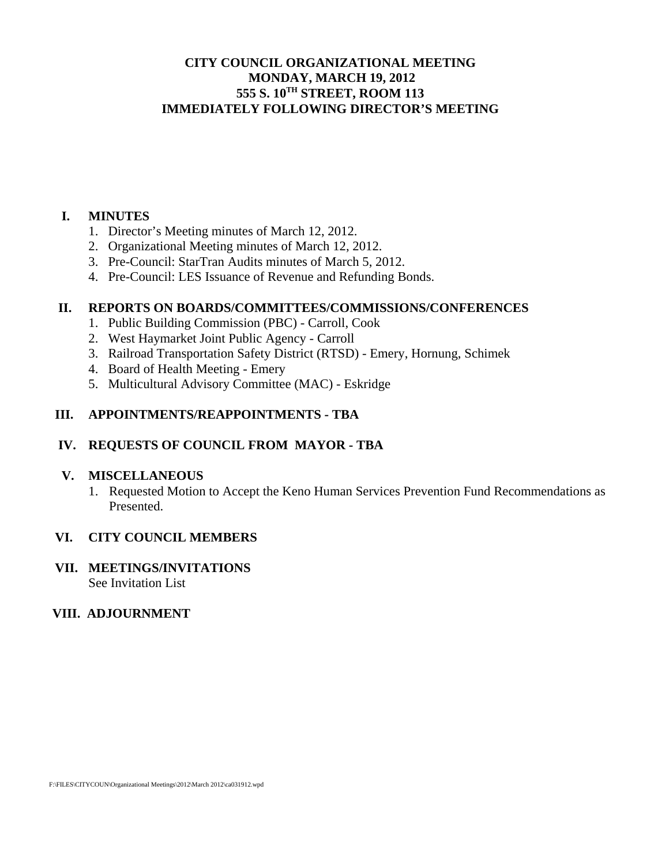# **CITY COUNCIL ORGANIZATIONAL MEETING MONDAY, MARCH 19, 2012 555 S. 10TH STREET, ROOM 113 IMMEDIATELY FOLLOWING DIRECTOR'S MEETING**

## **I. MINUTES**

- 1. Director's Meeting minutes of March 12, 2012.
- 2. Organizational Meeting minutes of March 12, 2012.
- 3. Pre-Council: StarTran Audits minutes of March 5, 2012.
- 4. Pre-Council: LES Issuance of Revenue and Refunding Bonds.

## **II. REPORTS ON BOARDS/COMMITTEES/COMMISSIONS/CONFERENCES**

- 1. Public Building Commission (PBC) Carroll, Cook
- 2. West Haymarket Joint Public Agency Carroll
- 3. Railroad Transportation Safety District (RTSD) Emery, Hornung, Schimek
- 4. Board of Health Meeting Emery
- 5. Multicultural Advisory Committee (MAC) Eskridge

## **III. APPOINTMENTS/REAPPOINTMENTS - TBA**

## **IV. REQUESTS OF COUNCIL FROM MAYOR - TBA**

#### **V. MISCELLANEOUS**

1. Requested Motion to Accept the Keno Human Services Prevention Fund Recommendations as Presented.

#### **VI. CITY COUNCIL MEMBERS**

#### **VII. MEETINGS/INVITATIONS**  See Invitation List

## **VIII. ADJOURNMENT**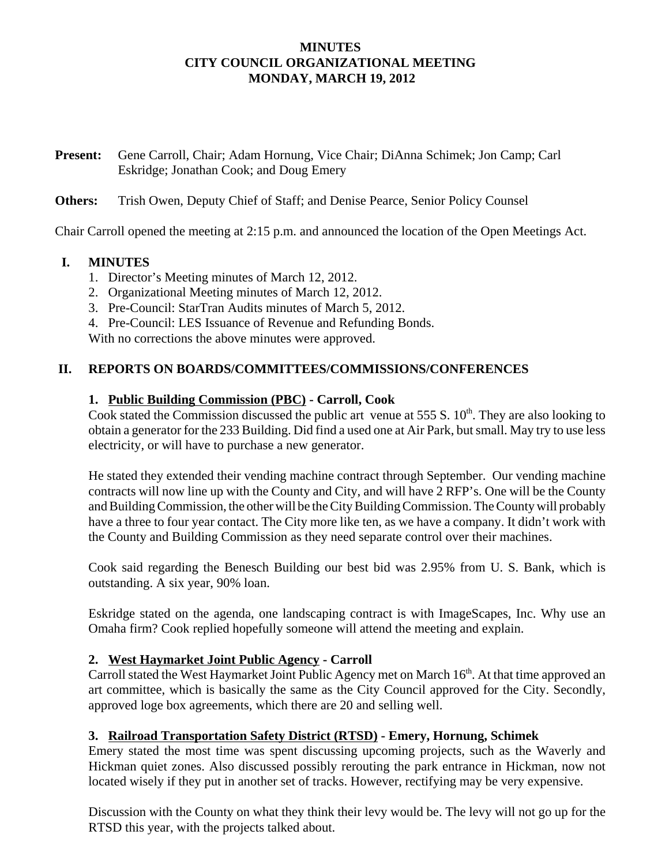# **MINUTES CITY COUNCIL ORGANIZATIONAL MEETING MONDAY, MARCH 19, 2012**

**Present:** Gene Carroll, Chair; Adam Hornung, Vice Chair; DiAnna Schimek; Jon Camp; Carl Eskridge; Jonathan Cook; and Doug Emery

# **Others:** Trish Owen, Deputy Chief of Staff; and Denise Pearce, Senior Policy Counsel

Chair Carroll opened the meeting at 2:15 p.m. and announced the location of the Open Meetings Act.

# **I. MINUTES**

- 1. Director's Meeting minutes of March 12, 2012.
- 2. Organizational Meeting minutes of March 12, 2012.
- 3. Pre-Council: StarTran Audits minutes of March 5, 2012.
- 4. Pre-Council: LES Issuance of Revenue and Refunding Bonds.

With no corrections the above minutes were approved.

# **II. REPORTS ON BOARDS/COMMITTEES/COMMISSIONS/CONFERENCES**

# **1. Public Building Commission (PBC) - Carroll, Cook**

Cook stated the Commission discussed the public art venue at  $555 S$ .  $10<sup>th</sup>$ . They are also looking to obtain a generator for the 233 Building. Did find a used one at Air Park, but small. May try to use less electricity, or will have to purchase a new generator.

He stated they extended their vending machine contract through September. Our vending machine contracts will now line up with the County and City, and will have 2 RFP's. One will be the County and Building Commission, the other will be the City Building Commission. The County will probably have a three to four year contact. The City more like ten, as we have a company. It didn't work with the County and Building Commission as they need separate control over their machines.

Cook said regarding the Benesch Building our best bid was 2.95% from U. S. Bank, which is outstanding. A six year, 90% loan.

Eskridge stated on the agenda, one landscaping contract is with ImageScapes, Inc. Why use an Omaha firm? Cook replied hopefully someone will attend the meeting and explain.

# **2. West Haymarket Joint Public Agency - Carroll**

Carroll stated the West Haymarket Joint Public Agency met on March 16<sup>th</sup>. At that time approved an art committee, which is basically the same as the City Council approved for the City. Secondly, approved loge box agreements, which there are 20 and selling well.

# **3. Railroad Transportation Safety District (RTSD) - Emery, Hornung, Schimek**

Emery stated the most time was spent discussing upcoming projects, such as the Waverly and Hickman quiet zones. Also discussed possibly rerouting the park entrance in Hickman, now not located wisely if they put in another set of tracks. However, rectifying may be very expensive.

Discussion with the County on what they think their levy would be. The levy will not go up for the RTSD this year, with the projects talked about.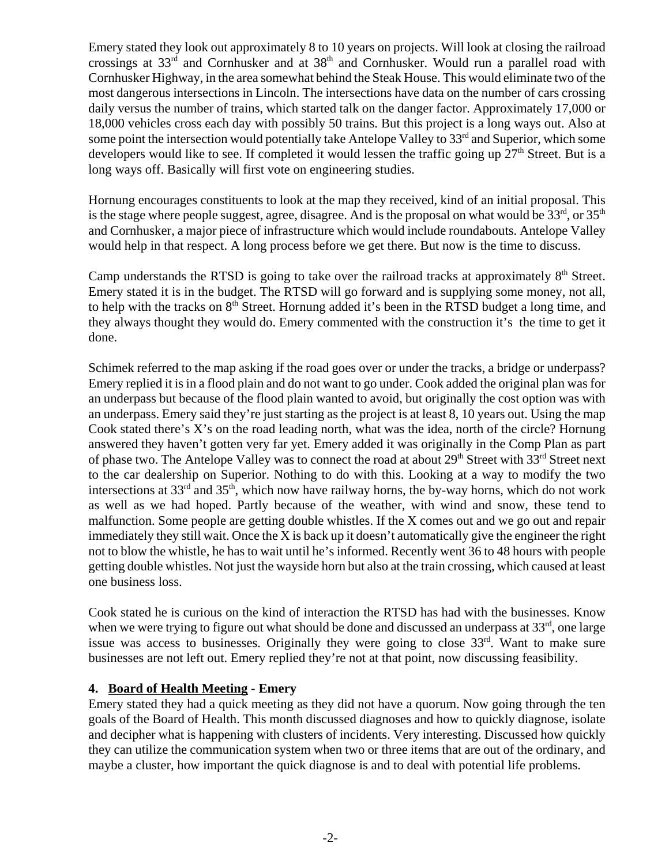Emery stated they look out approximately 8 to 10 years on projects. Will look at closing the railroad crossings at 33rd and Cornhusker and at 38th and Cornhusker. Would run a parallel road with Cornhusker Highway, in the area somewhat behind the Steak House. This would eliminate two of the most dangerous intersections in Lincoln. The intersections have data on the number of cars crossing daily versus the number of trains, which started talk on the danger factor. Approximately 17,000 or 18,000 vehicles cross each day with possibly 50 trains. But this project is a long ways out. Also at some point the intersection would potentially take Antelope Valley to  $33<sup>rd</sup>$  and Superior, which some developers would like to see. If completed it would lessen the traffic going up  $27<sup>th</sup>$  Street. But is a long ways off. Basically will first vote on engineering studies.

Hornung encourages constituents to look at the map they received, kind of an initial proposal. This is the stage where people suggest, agree, disagree. And is the proposal on what would be  $33<sup>rd</sup>$ , or  $35<sup>th</sup>$ and Cornhusker, a major piece of infrastructure which would include roundabouts. Antelope Valley would help in that respect. A long process before we get there. But now is the time to discuss.

Camp understands the RTSD is going to take over the railroad tracks at approximately  $8<sup>th</sup>$  Street. Emery stated it is in the budget. The RTSD will go forward and is supplying some money, not all, to help with the tracks on  $8<sup>th</sup>$  Street. Hornung added it's been in the RTSD budget a long time, and they always thought they would do. Emery commented with the construction it's the time to get it done.

Schimek referred to the map asking if the road goes over or under the tracks, a bridge or underpass? Emery replied it is in a flood plain and do not want to go under. Cook added the original plan was for an underpass but because of the flood plain wanted to avoid, but originally the cost option was with an underpass. Emery said they're just starting as the project is at least 8, 10 years out. Using the map Cook stated there's X's on the road leading north, what was the idea, north of the circle? Hornung answered they haven't gotten very far yet. Emery added it was originally in the Comp Plan as part of phase two. The Antelope Valley was to connect the road at about 29<sup>th</sup> Street with 33<sup>rd</sup> Street next to the car dealership on Superior. Nothing to do with this. Looking at a way to modify the two intersections at  $33<sup>rd</sup>$  and  $35<sup>th</sup>$ , which now have railway horns, the by-way horns, which do not work as well as we had hoped. Partly because of the weather, with wind and snow, these tend to malfunction. Some people are getting double whistles. If the X comes out and we go out and repair immediately they still wait. Once the X is back up it doesn't automatically give the engineer the right not to blow the whistle, he has to wait until he's informed. Recently went 36 to 48 hours with people getting double whistles. Not just the wayside horn but also at the train crossing, which caused at least one business loss.

Cook stated he is curious on the kind of interaction the RTSD has had with the businesses. Know when we were trying to figure out what should be done and discussed an underpass at  $33<sup>rd</sup>$ , one large issue was access to businesses. Originally they were going to close 33<sup>rd</sup>. Want to make sure businesses are not left out. Emery replied they're not at that point, now discussing feasibility.

# **4. Board of Health Meeting - Emery**

Emery stated they had a quick meeting as they did not have a quorum. Now going through the ten goals of the Board of Health. This month discussed diagnoses and how to quickly diagnose, isolate and decipher what is happening with clusters of incidents. Very interesting. Discussed how quickly they can utilize the communication system when two or three items that are out of the ordinary, and maybe a cluster, how important the quick diagnose is and to deal with potential life problems.